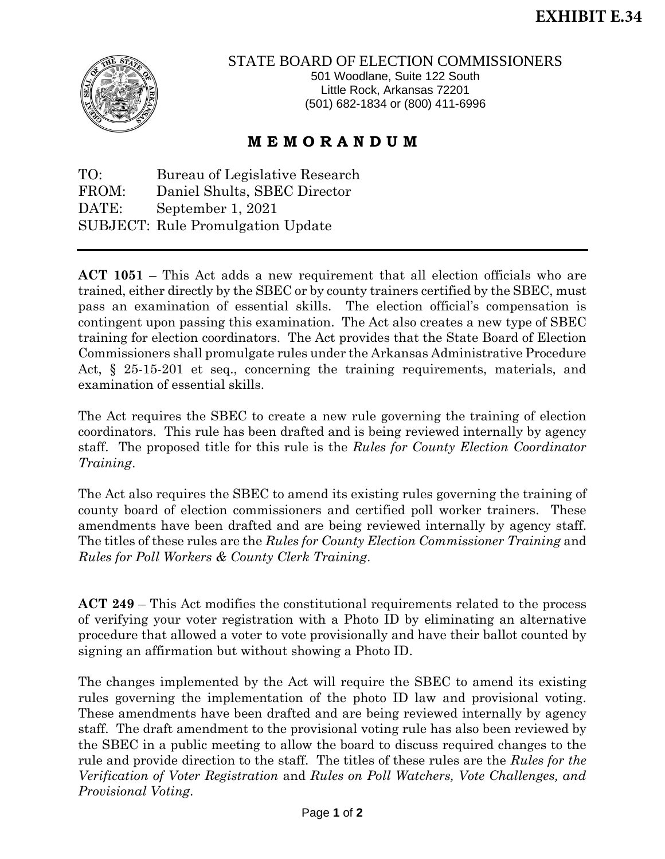

## STATE BOARD OF ELECTION COMMISSIONERS

501 Woodlane, Suite 122 South Little Rock, Arkansas 72201 (501) 682-1834 or (800) 411-6996

## **M E M O R A N D U M**

TO: Bureau of Legislative Research FROM: Daniel Shults, SBEC Director DATE: September 1, 2021 SUBJECT: Rule Promulgation Update

**ACT 1051** – This Act adds a new requirement that all election officials who are trained, either directly by the SBEC or by county trainers certified by the SBEC, must pass an examination of essential skills. The election official's compensation is contingent upon passing this examination. The Act also creates a new type of SBEC training for election coordinators. The Act provides that the State Board of Election Commissioners shall promulgate rules under the Arkansas Administrative Procedure Act, § 25-15-201 et seq., concerning the training requirements, materials, and examination of essential skills.

The Act requires the SBEC to create a new rule governing the training of election coordinators. This rule has been drafted and is being reviewed internally by agency staff. The proposed title for this rule is the *Rules for County Election Coordinator Training*.

The Act also requires the SBEC to amend its existing rules governing the training of county board of election commissioners and certified poll worker trainers. These amendments have been drafted and are being reviewed internally by agency staff. The titles of these rules are the *Rules for County Election Commissioner Training* and *Rules for Poll Workers & County Clerk Training*.

**ACT 249** – This Act modifies the constitutional requirements related to the process of verifying your voter registration with a Photo ID by eliminating an alternative procedure that allowed a voter to vote provisionally and have their ballot counted by signing an affirmation but without showing a Photo ID.

The changes implemented by the Act will require the SBEC to amend its existing rules governing the implementation of the photo ID law and provisional voting. These amendments have been drafted and are being reviewed internally by agency staff. The draft amendment to the provisional voting rule has also been reviewed by the SBEC in a public meeting to allow the board to discuss required changes to the rule and provide direction to the staff. The titles of these rules are the *Rules for the Verification of Voter Registration* and *Rules on Poll Watchers, Vote Challenges, and Provisional Voting*.